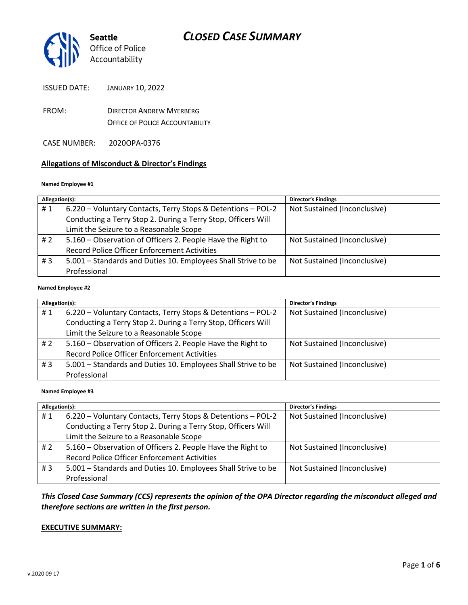

ISSUED DATE: JANUARY 10, 2022

- FROM: DIRECTOR ANDREW MYERBERG OFFICE OF POLICE ACCOUNTABILITY
- CASE NUMBER: 2020OPA-0376

### **Allegations of Misconduct & Director's Findings**

#### **Named Employee #1**

| Allegation(s): |                                                               | <b>Director's Findings</b>   |
|----------------|---------------------------------------------------------------|------------------------------|
| #1             | 6.220 - Voluntary Contacts, Terry Stops & Detentions - POL-2  | Not Sustained (Inconclusive) |
|                | Conducting a Terry Stop 2. During a Terry Stop, Officers Will |                              |
|                | Limit the Seizure to a Reasonable Scope                       |                              |
| # $2$          | 5.160 - Observation of Officers 2. People Have the Right to   | Not Sustained (Inconclusive) |
|                | Record Police Officer Enforcement Activities                  |                              |
| #3             | 5.001 - Standards and Duties 10. Employees Shall Strive to be | Not Sustained (Inconclusive) |
|                | Professional                                                  |                              |
|                |                                                               |                              |

#### **Named Employee #2**

| Allegation(s): |                                                               | <b>Director's Findings</b>   |
|----------------|---------------------------------------------------------------|------------------------------|
| #1             | 6.220 - Voluntary Contacts, Terry Stops & Detentions - POL-2  | Not Sustained (Inconclusive) |
|                | Conducting a Terry Stop 2. During a Terry Stop, Officers Will |                              |
|                | Limit the Seizure to a Reasonable Scope                       |                              |
| # $2$          | 5.160 – Observation of Officers 2. People Have the Right to   | Not Sustained (Inconclusive) |
|                | <b>Record Police Officer Enforcement Activities</b>           |                              |
| #3             | 5.001 - Standards and Duties 10. Employees Shall Strive to be | Not Sustained (Inconclusive) |
|                | Professional                                                  |                              |

#### **Named Employee #3**

| Allegation(s): |                                                               | Director's Findings          |
|----------------|---------------------------------------------------------------|------------------------------|
| #1             | 6.220 - Voluntary Contacts, Terry Stops & Detentions - POL-2  | Not Sustained (Inconclusive) |
|                | Conducting a Terry Stop 2. During a Terry Stop, Officers Will |                              |
|                | Limit the Seizure to a Reasonable Scope                       |                              |
| # 2            | 5.160 - Observation of Officers 2. People Have the Right to   | Not Sustained (Inconclusive) |
|                | <b>Record Police Officer Enforcement Activities</b>           |                              |
| # $3$          | 5.001 - Standards and Duties 10. Employees Shall Strive to be | Not Sustained (Inconclusive) |
|                | Professional                                                  |                              |

### *This Closed Case Summary (CCS) represents the opinion of the OPA Director regarding the misconduct alleged and therefore sections are written in the first person.*

#### **EXECUTIVE SUMMARY:**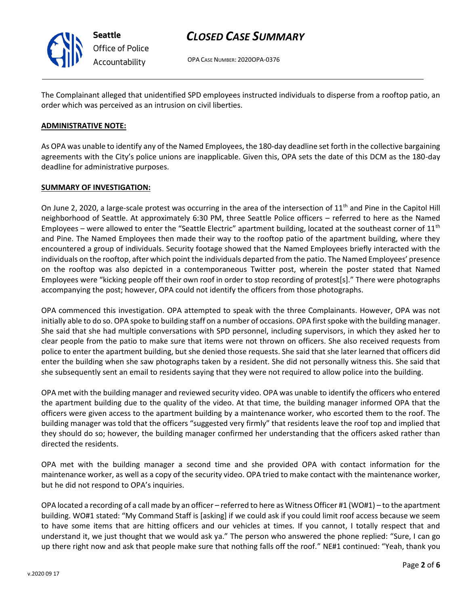

*Office of Police Accountability*

# *CLOSED CASE SUMMARY*

OPA CASE NUMBER: 2020OPA-0376

The Complainant alleged that unidentified SPD employees instructed individuals to disperse from a rooftop patio, an order which was perceived as an intrusion on civil liberties.

### **ADMINISTRATIVE NOTE:**

As OPA was unable to identify any of the Named Employees, the 180-day deadline set forth in the collective bargaining agreements with the City's police unions are inapplicable. Given this, OPA sets the date of this DCM as the 180-day deadline for administrative purposes.

### **SUMMARY OF INVESTIGATION:**

On June 2, 2020, a large-scale protest was occurring in the area of the intersection of 11<sup>th</sup> and Pine in the Capitol Hill neighborhood of Seattle. At approximately 6:30 PM, three Seattle Police officers – referred to here as the Named Employees – were allowed to enter the "Seattle Electric" apartment building, located at the southeast corner of  $11<sup>th</sup>$ and Pine. The Named Employees then made their way to the rooftop patio of the apartment building, where they encountered a group of individuals. Security footage showed that the Named Employees briefly interacted with the individuals on the rooftop, after which point the individuals departed from the patio. The Named Employees' presence on the rooftop was also depicted in a contemporaneous Twitter post, wherein the poster stated that Named Employees were "kicking people off their own roof in order to stop recording of protest[s]." There were photographs accompanying the post; however, OPA could not identify the officers from those photographs.

OPA commenced this investigation. OPA attempted to speak with the three Complainants. However, OPA was not initially able to do so. OPA spoke to building staff on a number of occasions. OPA first spoke with the building manager. She said that she had multiple conversations with SPD personnel, including supervisors, in which they asked her to clear people from the patio to make sure that items were not thrown on officers. She also received requests from police to enter the apartment building, but she denied those requests. She said that she later learned that officers did enter the building when she saw photographs taken by a resident. She did not personally witness this. She said that she subsequently sent an email to residents saying that they were not required to allow police into the building.

OPA met with the building manager and reviewed security video. OPA was unable to identify the officers who entered the apartment building due to the quality of the video. At that time, the building manager informed OPA that the officers were given access to the apartment building by a maintenance worker, who escorted them to the roof. The building manager was told that the officers "suggested very firmly" that residents leave the roof top and implied that they should do so; however, the building manager confirmed her understanding that the officers asked rather than directed the residents.

OPA met with the building manager a second time and she provided OPA with contact information for the maintenance worker, as well as a copy of the security video. OPA tried to make contact with the maintenance worker, but he did not respond to OPA's inquiries.

OPA located a recording of a call made by an officer – referred to here as Witness Officer #1 (WO#1) – to the apartment building. WO#1 stated: "My Command Staff is [asking] if we could ask if you could limit roof access because we seem to have some items that are hitting officers and our vehicles at times. If you cannot, I totally respect that and understand it, we just thought that we would ask ya." The person who answered the phone replied: "Sure, I can go up there right now and ask that people make sure that nothing falls off the roof." NE#1 continued: "Yeah, thank you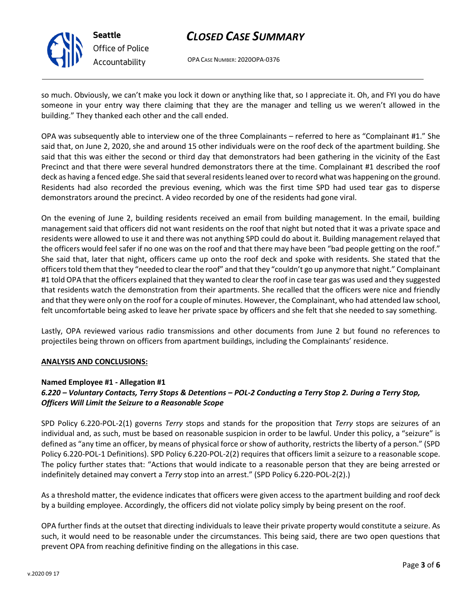

**Seattle** *Office of Police Accountability*

# *CLOSED CASE SUMMARY*

OPA CASE NUMBER: 2020OPA-0376

so much. Obviously, we can't make you lock it down or anything like that, so I appreciate it. Oh, and FYI you do have someone in your entry way there claiming that they are the manager and telling us we weren't allowed in the building." They thanked each other and the call ended.

OPA was subsequently able to interview one of the three Complainants – referred to here as "Complainant #1." She said that, on June 2, 2020, she and around 15 other individuals were on the roof deck of the apartment building. She said that this was either the second or third day that demonstrators had been gathering in the vicinity of the East Precinct and that there were several hundred demonstrators there at the time. Complainant #1 described the roof deck as having a fenced edge. She said that several residents leaned over to record what was happening on the ground. Residents had also recorded the previous evening, which was the first time SPD had used tear gas to disperse demonstrators around the precinct. A video recorded by one of the residents had gone viral.

On the evening of June 2, building residents received an email from building management. In the email, building management said that officers did not want residents on the roof that night but noted that it was a private space and residents were allowed to use it and there was not anything SPD could do about it. Building management relayed that the officers would feel safer if no one was on the roof and that there may have been "bad people getting on the roof." She said that, later that night, officers came up onto the roof deck and spoke with residents. She stated that the officers told them that they "needed to clear the roof" and that they "couldn't go up anymore that night." Complainant #1 told OPA that the officers explained that they wanted to clear the roof in case tear gas was used and they suggested that residents watch the demonstration from their apartments. She recalled that the officers were nice and friendly and that they were only on the roof for a couple of minutes. However, the Complainant, who had attended law school, felt uncomfortable being asked to leave her private space by officers and she felt that she needed to say something.

Lastly, OPA reviewed various radio transmissions and other documents from June 2 but found no references to projectiles being thrown on officers from apartment buildings, including the Complainants' residence.

# **ANALYSIS AND CONCLUSIONS:**

# **Named Employee #1 - Allegation #1**

# *6.220 – Voluntary Contacts, Terry Stops & Detentions – POL-2 Conducting a Terry Stop 2. During a Terry Stop, Officers Will Limit the Seizure to a Reasonable Scope*

SPD Policy 6.220-POL-2(1) governs *Terry* stops and stands for the proposition that *Terry* stops are seizures of an individual and, as such, must be based on reasonable suspicion in order to be lawful. Under this policy, a "seizure" is defined as "any time an officer, by means of physical force or show of authority, restricts the liberty of a person." (SPD Policy 6.220-POL-1 Definitions). SPD Policy 6.220-POL-2(2) requires that officers limit a seizure to a reasonable scope. The policy further states that: "Actions that would indicate to a reasonable person that they are being arrested or indefinitely detained may convert a *Terry* stop into an arrest." (SPD Policy 6.220-POL-2(2).)

As a threshold matter, the evidence indicates that officers were given access to the apartment building and roof deck by a building employee. Accordingly, the officers did not violate policy simply by being present on the roof.

OPA further finds at the outset that directing individuals to leave their private property would constitute a seizure. As such, it would need to be reasonable under the circumstances. This being said, there are two open questions that prevent OPA from reaching definitive finding on the allegations in this case.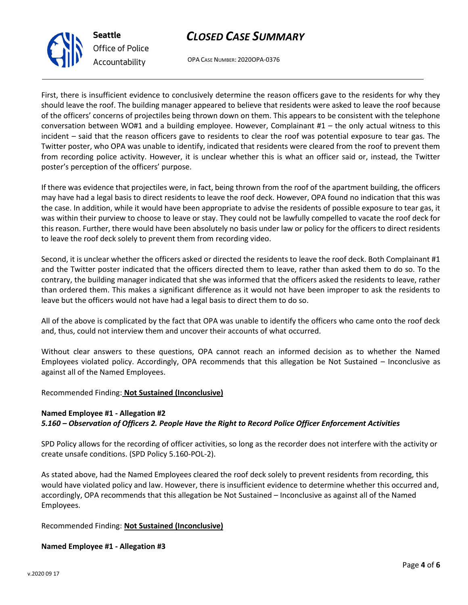# *CLOSED CASE SUMMARY*



OPA CASE NUMBER: 2020OPA-0376

First, there is insufficient evidence to conclusively determine the reason officers gave to the residents for why they should leave the roof. The building manager appeared to believe that residents were asked to leave the roof because of the officers' concerns of projectiles being thrown down on them. This appears to be consistent with the telephone conversation between WO#1 and a building employee. However, Complainant #1 – the only actual witness to this incident – said that the reason officers gave to residents to clear the roof was potential exposure to tear gas. The Twitter poster, who OPA was unable to identify, indicated that residents were cleared from the roof to prevent them from recording police activity. However, it is unclear whether this is what an officer said or, instead, the Twitter poster's perception of the officers' purpose.

If there was evidence that projectiles were, in fact, being thrown from the roof of the apartment building, the officers may have had a legal basis to direct residents to leave the roof deck. However, OPA found no indication that this was the case. In addition, while it would have been appropriate to advise the residents of possible exposure to tear gas, it was within their purview to choose to leave or stay. They could not be lawfully compelled to vacate the roof deck for this reason. Further, there would have been absolutely no basis under law or policy for the officers to direct residents to leave the roof deck solely to prevent them from recording video.

Second, it is unclear whether the officers asked or directed the residents to leave the roof deck. Both Complainant #1 and the Twitter poster indicated that the officers directed them to leave, rather than asked them to do so. To the contrary, the building manager indicated that she was informed that the officers asked the residents to leave, rather than ordered them. This makes a significant difference as it would not have been improper to ask the residents to leave but the officers would not have had a legal basis to direct them to do so.

All of the above is complicated by the fact that OPA was unable to identify the officers who came onto the roof deck and, thus, could not interview them and uncover their accounts of what occurred.

Without clear answers to these questions, OPA cannot reach an informed decision as to whether the Named Employees violated policy. Accordingly, OPA recommends that this allegation be Not Sustained – Inconclusive as against all of the Named Employees.

# Recommended Finding: **Not Sustained (Inconclusive)**

# **Named Employee #1 - Allegation #2** *5.160 – Observation of Officers 2. People Have the Right to Record Police Officer Enforcement Activities*

SPD Policy allows for the recording of officer activities, so long as the recorder does not interfere with the activity or create unsafe conditions. (SPD Policy 5.160-POL-2).

As stated above, had the Named Employees cleared the roof deck solely to prevent residents from recording, this would have violated policy and law. However, there is insufficient evidence to determine whether this occurred and, accordingly, OPA recommends that this allegation be Not Sustained – Inconclusive as against all of the Named Employees.

# Recommended Finding: **Not Sustained (Inconclusive)**

# **Named Employee #1 - Allegation #3**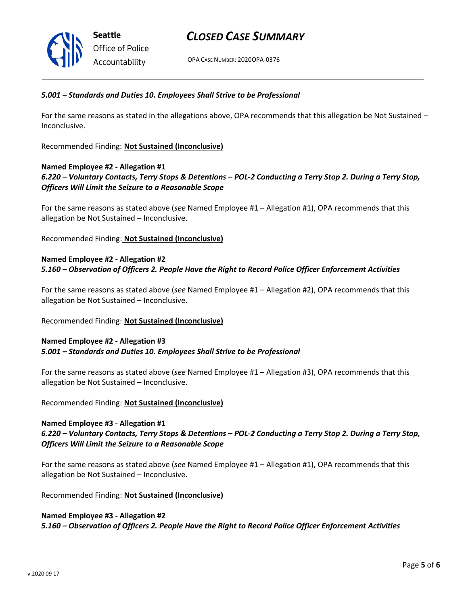

# *CLOSED CASE SUMMARY*

OPA CASE NUMBER: 2020OPA-0376

#### *5.001 – Standards and Duties 10. Employees Shall Strive to be Professional*

For the same reasons as stated in the allegations above, OPA recommends that this allegation be Not Sustained – Inconclusive.

Recommended Finding: **Not Sustained (Inconclusive)**

#### **Named Employee #2 - Allegation #1**

*6.220 – Voluntary Contacts, Terry Stops & Detentions – POL-2 Conducting a Terry Stop 2. During a Terry Stop, Officers Will Limit the Seizure to a Reasonable Scope*

For the same reasons as stated above (*see* Named Employee #1 – Allegation #1), OPA recommends that this allegation be Not Sustained – Inconclusive.

Recommended Finding: **Not Sustained (Inconclusive)**

# **Named Employee #2 - Allegation #2** *5.160 – Observation of Officers 2. People Have the Right to Record Police Officer Enforcement Activities*

For the same reasons as stated above (*see* Named Employee #1 – Allegation #2), OPA recommends that this allegation be Not Sustained – Inconclusive.

#### Recommended Finding: **Not Sustained (Inconclusive)**

### **Named Employee #2 - Allegation #3** *5.001 – Standards and Duties 10. Employees Shall Strive to be Professional*

For the same reasons as stated above (*see* Named Employee #1 – Allegation #3), OPA recommends that this allegation be Not Sustained – Inconclusive.

Recommended Finding: **Not Sustained (Inconclusive)**

#### **Named Employee #3 - Allegation #1**

### *6.220 – Voluntary Contacts, Terry Stops & Detentions – POL-2 Conducting a Terry Stop 2. During a Terry Stop, Officers Will Limit the Seizure to a Reasonable Scope*

For the same reasons as stated above (*see* Named Employee #1 – Allegation #1), OPA recommends that this allegation be Not Sustained – Inconclusive.

Recommended Finding: **Not Sustained (Inconclusive)**

### **Named Employee #3 - Allegation #2**

*5.160 – Observation of Officers 2. People Have the Right to Record Police Officer Enforcement Activities*